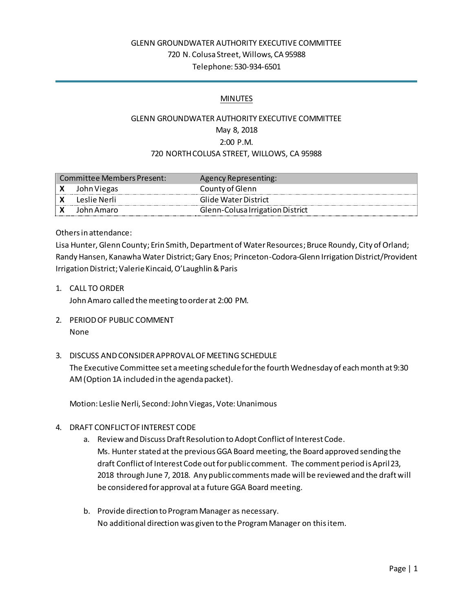## GLENN GROUNDWATER AUTHORITY EXECUTIVE COMMITTEE 720 N. Colusa Street, Willows, CA 95988 Telephone: 530-934-6501

#### MINUTES

# GLENN GROUNDWATER AUTHORITY EXECUTIVE COMMITTEE May 8, 2018 2:00 P.M. 720 NORTH COLUSA STREET, WILLOWS, CA 95988

| Committee Members Present: |                | Agency Representing:             |
|----------------------------|----------------|----------------------------------|
|                            | John Viegas    | County of Glenn                  |
|                            | - Leslie Nerli | Glide Water District             |
|                            | John Amaro     | Glenn-Colusa Irrigation District |

Others in attendance:

Lisa Hunter, Glenn County; Erin Smith, Department of Water Resources; Bruce Roundy, City of Orland; Randy Hansen, Kanawha Water District; Gary Enos; Princeton-Codora-Glenn Irrigation District/Provident Irrigation District; ValerieKincaid, O'Laughlin & Paris

1. CALL TO ORDER

John Amaro called the meeting to order at 2:00 PM.

- 2. PERIOD OF PUBLIC COMMENT None
- 3. DISCUSS AND CONSIDER APPROVAL OF MEETING SCHEDULE The Executive Committee set a meeting schedule for the fourth Wednesday of each month at 9:30 AM (Option 1A included in the agenda packet).

Motion: Leslie Nerli, Second: John Viegas, Vote: Unanimous

- 4. DRAFT CONFLICT OF INTEREST CODE
	- a. Review and Discuss Draft Resolution to Adopt Conflict of Interest Code. Ms. Hunter stated at the previous GGA Board meeting, the Board approved sending the draft Conflict of Interest Code out for public comment. The comment period is April 23, 2018 through June 7, 2018. Any public comments made will be reviewed and the draft will be considered for approval at a future GGA Board meeting.
	- b. Provide direction to Program Manager as necessary. No additional direction was given to the Program Manager on this item.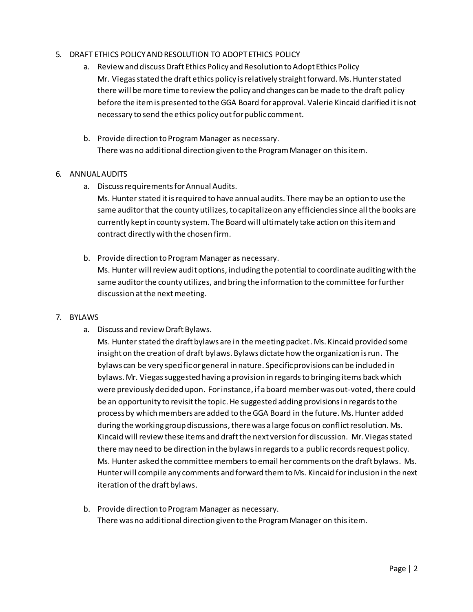#### 5. DRAFT ETHICS POLICY AND RESOLUTION TO ADOPT ETHICS POLICY

- a. Review and discuss Draft Ethics Policy and Resolution to Adopt Ethics Policy Mr. Viegas stated the draft ethics policy is relatively straight forward. Ms. Hunter stated there will be more time to review the policy and changes can be made to the draft policy before the item is presented to the GGA Board for approval. Valerie Kincaid clarified it is not necessary to send the ethics policy out for public comment.
- b. Provide direction to Program Manager as necessary. There was no additional direction given to the Program Manager on this item.

#### 6. ANNUAL AUDITS

a. Discuss requirements for Annual Audits.

Ms. Hunter stated it is required to have annual audits. There may be an option to use the same auditor that the county utilizes, to capitalize on any efficiencies since all the books are currently kept in county system. The Board will ultimately take action on this item and contract directly with the chosen firm.

b. Provide direction to Program Manager as necessary. Ms. Hunter will review audit options, including the potential to coordinate auditing with the same auditor the county utilizes, and bring the information to the committee for further discussion at the next meeting.

### 7. BYLAWS

a. Discuss and review Draft Bylaws.

Ms. Hunter stated the draft bylaws are in the meeting packet. Ms. Kincaid provided some insight on the creation of draft bylaws. Bylaws dictate how the organization is run. The bylaws can be very specific or general in nature. Specific provisions can be included in bylaws. Mr. Viegas suggested having a provision in regards to bringing items back which were previously decided upon. For instance, if a board member was out-voted, there could be an opportunity to revisit the topic. He suggested adding provisions in regards to the process by which members are added to the GGA Board in the future. Ms. Hunter added during the working group discussions, there was a large focus on conflict resolution. Ms. Kincaid will review these items and draft the next version for discussion. Mr. Viegas stated there may need to be direction in the bylaws in regards to a public records request policy. Ms. Hunter asked the committee membersto email her comments on the draft bylaws. Ms. Hunter will compile any comments and forward them to Ms. Kincaid for inclusion in the next iteration of the draft bylaws.

b. Provide direction to Program Manager as necessary. There was no additional direction given to the Program Manager on this item.